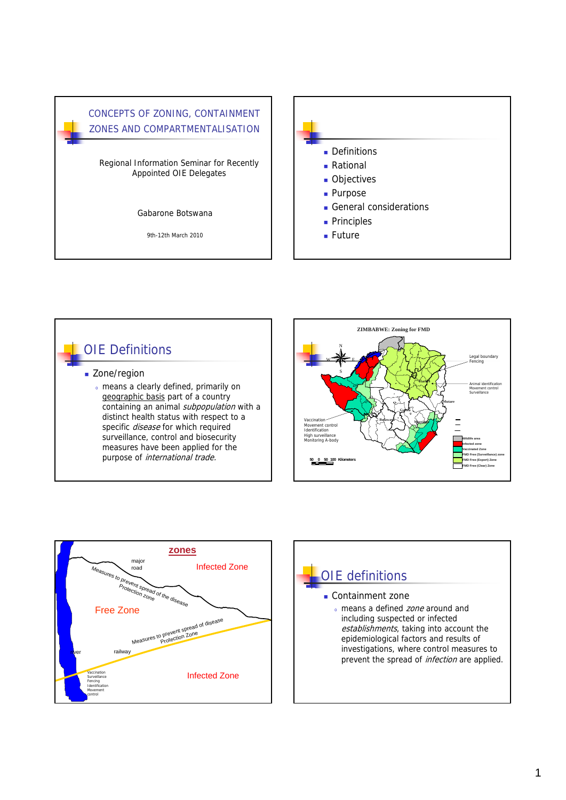



# OIE Definitions **Zone/region** <sup>o</sup> means a clearly defined, primarily on geographic basis part of a country containing an animal subpopulation with a distinct health status with respect to a specific *disease* for which required surveillance, control and biosecurity measures have been applied for the purpose of *international trade.*





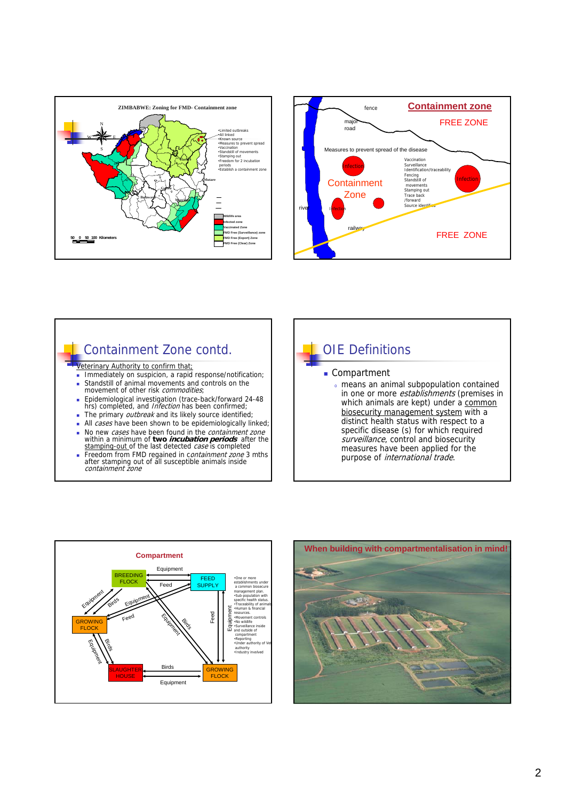







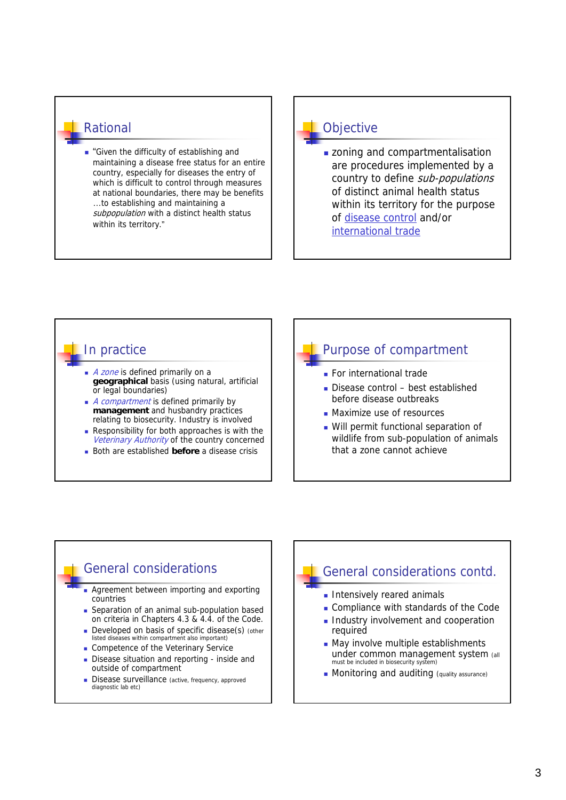#### Rational

**Given the difficulty of establishing and** maintaining a disease free status for an entire country, especially for diseases the entry of which is difficult to control through measures at national boundaries, there may be benefits …to establishing and maintaining a subpopulation with a distinct health status within its territory."

# **Objective**

**zoning and compartmentalisation** are procedures implemented by a country to define sub-populations of distinct animal health status within its territory for the purpose of disease control and/or international trade

### In practice

- A zone is defined primarily on a **geographical** basis (using natural, artificial or legal boundaries)
- $\blacksquare$  *A compartment* is defined primarily by **management** and husbandry practices relating to biosecurity. Industry is involved
- Responsibility for both approaches is with the Veterinary Authority of the country concerned
- Both are established **before** a disease crisis

# Purpose of compartment

- **For international trade**
- Disease control best established before disease outbreaks
- **Maximize use of resources**
- Will permit functional separation of wildlife from sub-population of animals that a zone cannot achieve

# General considerations

- Agreement between importing and exporting countries
- Separation of an animal sub-population based on criteria in Chapters 4.3 & 4.4. of the Code.
- Developed on basis of specific disease(s) (other listed diseases within compartment also important)
- Competence of the Veterinary Service
- Disease situation and reporting inside and outside of compartment
- Disease surveillance (active, frequency, approved diagnostic lab etc)

# General considerations contd.

- **Intensively reared animals**
- Compliance with standards of the Code
- Industry involvement and cooperation required
- May involve multiple establishments under common management system (all must be included in biosecurity system)
- **Monitoring and auditing (quality assurance)**